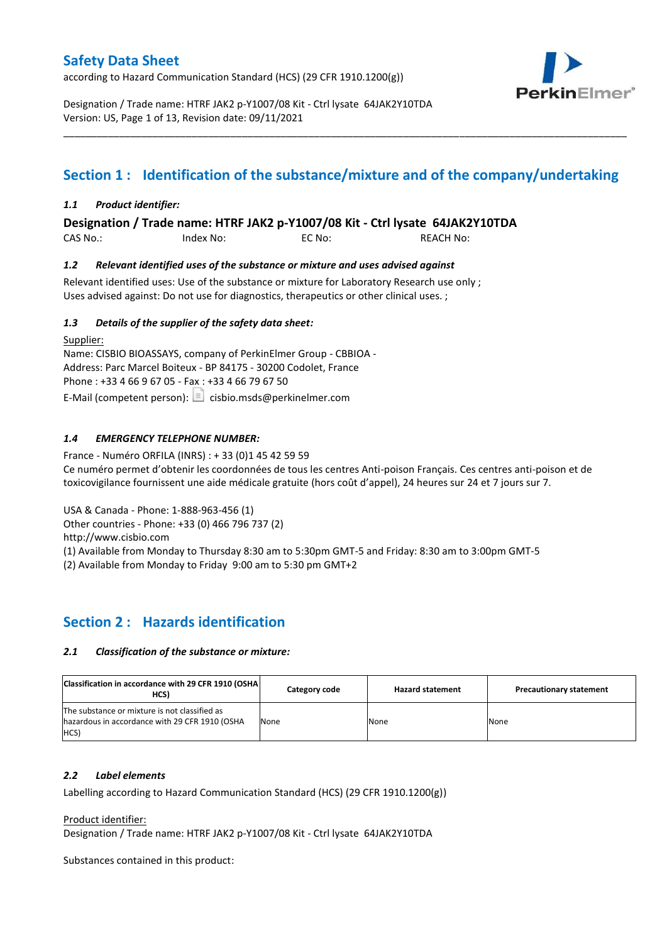according to Hazard Communication Standard (HCS) (29 CFR 1910.1200(g))



Designation / Trade name: HTRF JAK2 p-Y1007/08 Kit - Ctrl lysate 64JAK2Y10TDA Version: US, Page 1 of 13, Revision date: 09/11/2021

# **Section 1 : Identification of the substance/mixture and of the company/undertaking**

\_\_\_\_\_\_\_\_\_\_\_\_\_\_\_\_\_\_\_\_\_\_\_\_\_\_\_\_\_\_\_\_\_\_\_\_\_\_\_\_\_\_\_\_\_\_\_\_\_\_\_\_\_\_\_\_\_\_\_\_\_\_\_\_\_\_\_\_\_\_\_\_\_\_\_\_\_\_\_\_\_\_\_\_\_\_\_\_\_\_\_\_\_\_\_\_\_\_\_\_\_

## *1.1 Product identifier:*

**Designation / Trade name: HTRF JAK2 p-Y1007/08 Kit - Ctrl lysate 64JAK2Y10TDA** 

CAS No.: Index No: EC No: REACH No:

## *1.2 Relevant identified uses of the substance or mixture and uses advised against*

Relevant identified uses: Use of the substance or mixture for Laboratory Research use only ; Uses advised against: Do not use for diagnostics, therapeutics or other clinical uses. ;

## *1.3 Details of the supplier of the safety data sheet:*

Supplier: Name: CISBIO BIOASSAYS, company of PerkinElmer Group - CBBIOA - Address: Parc Marcel Boiteux - BP 84175 - 30200 Codolet, France Phone : +33 4 66 9 67 05 - Fax : +33 4 66 79 67 50 E-Mail (competent person):  $\Box$  cisbio.msds@perkinelmer.com

## *1.4 EMERGENCY TELEPHONE NUMBER:*

France - Numéro ORFILA (INRS) : + 33 (0)1 45 42 59 59 Ce numéro permet d'obtenir les coordonnées de tous les centres Anti-poison Français. Ces centres anti-poison et de toxicovigilance fournissent une aide médicale gratuite (hors coût d'appel), 24 heures sur 24 et 7 jours sur 7.

USA & Canada - Phone: 1-888-963-456 (1)

Other countries - Phone: +33 (0) 466 796 737 (2)

http://www.cisbio.com

(1) Available from Monday to Thursday 8:30 am to 5:30pm GMT-5 and Friday: 8:30 am to 3:00pm GMT-5

(2) Available from Monday to Friday 9:00 am to 5:30 pm GMT+2

## **Section 2 : Hazards identification**

#### *2.1 Classification of the substance or mixture:*

| Classification in accordance with 29 CFR 1910 (OSHA)<br>HCS)                                            | Category code | <b>Hazard statement</b> | <b>Precautionary statement</b> |
|---------------------------------------------------------------------------------------------------------|---------------|-------------------------|--------------------------------|
| The substance or mixture is not classified as<br>hazardous in accordance with 29 CFR 1910 (OSHA<br>HCS) | None          | None                    | None                           |

#### *2.2 Label elements*

Labelling according to Hazard Communication Standard (HCS) (29 CFR 1910.1200(g))

Product identifier:

Designation / Trade name: HTRF JAK2 p-Y1007/08 Kit - Ctrl lysate 64JAK2Y10TDA

Substances contained in this product: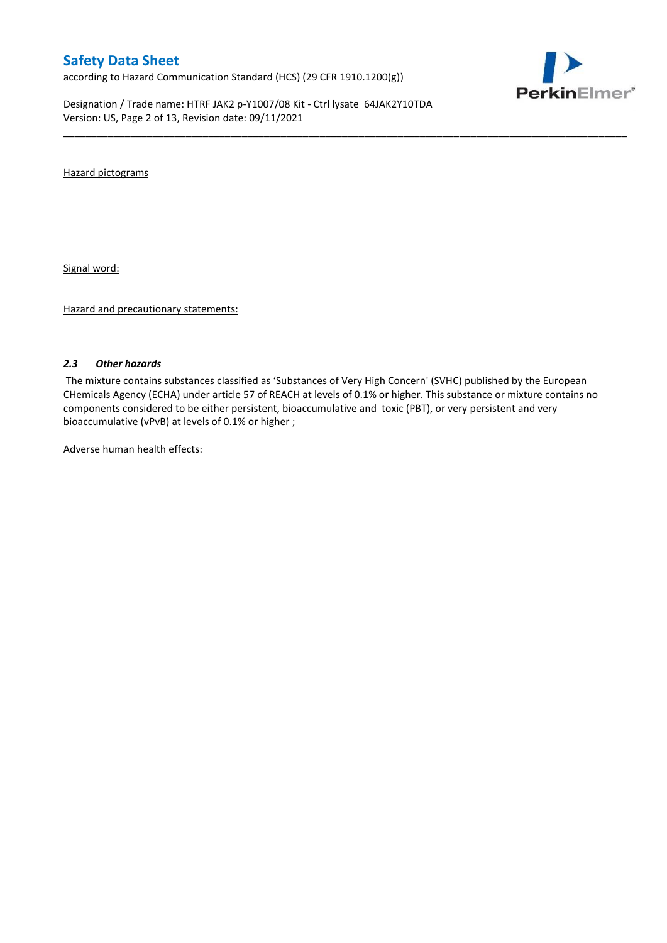according to Hazard Communication Standard (HCS) (29 CFR 1910.1200(g))

Designation / Trade name: HTRF JAK2 p-Y1007/08 Kit - Ctrl lysate 64JAK2Y10TDA Version: US, Page 2 of 13, Revision date: 09/11/2021



Hazard pictograms

Signal word:

Hazard and precautionary statements:

#### *2.3 Other hazards*

The mixture contains substances classified as 'Substances of Very High Concern' (SVHC) published by the European CHemicals Agency (ECHA) under article 57 of REACH at levels of 0.1% or higher. This substance or mixture contains no components considered to be either persistent, bioaccumulative and toxic (PBT), or very persistent and very bioaccumulative (vPvB) at levels of 0.1% or higher ;

\_\_\_\_\_\_\_\_\_\_\_\_\_\_\_\_\_\_\_\_\_\_\_\_\_\_\_\_\_\_\_\_\_\_\_\_\_\_\_\_\_\_\_\_\_\_\_\_\_\_\_\_\_\_\_\_\_\_\_\_\_\_\_\_\_\_\_\_\_\_\_\_\_\_\_\_\_\_\_\_\_\_\_\_\_\_\_\_\_\_\_\_\_\_\_\_\_\_\_\_\_

Adverse human health effects: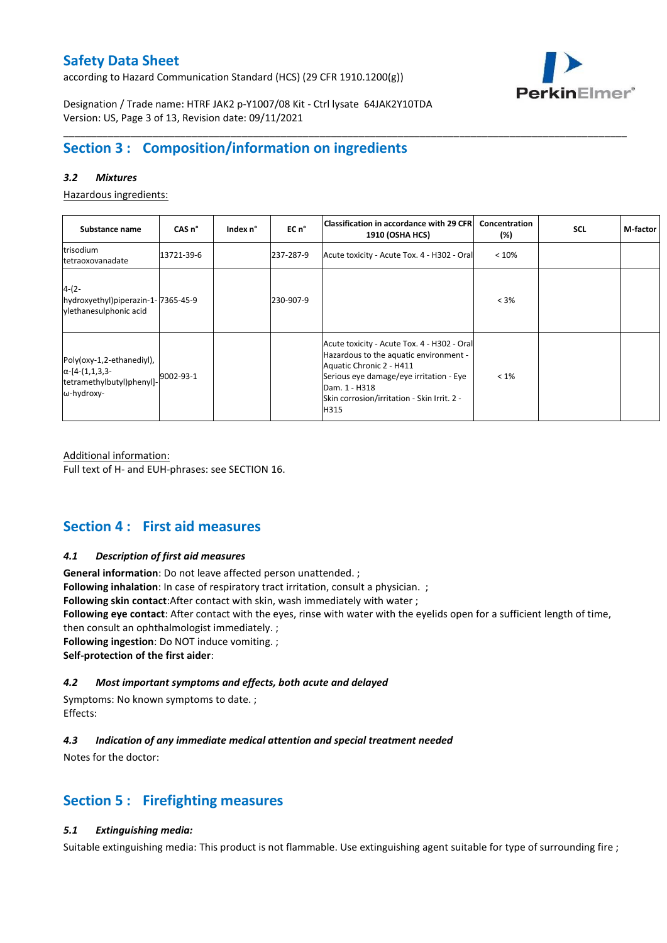according to Hazard Communication Standard (HCS) (29 CFR 1910.1200(g))



Designation / Trade name: HTRF JAK2 p-Y1007/08 Kit - Ctrl lysate 64JAK2Y10TDA Version: US, Page 3 of 13, Revision date: 09/11/2021

## **Section 3 : Composition/information on ingredients**

### *3.2 Mixtures*

Hazardous ingredients:

| Substance name                                                                                 | CAS <sub>n</sub> ° | Index n° | EC n°     | Classification in accordance with 29 CFR   <br>1910 (OSHA HCS)                                                                                                                                                                       | Concentration<br>(%) | <b>SCL</b> | M-factor |
|------------------------------------------------------------------------------------------------|--------------------|----------|-----------|--------------------------------------------------------------------------------------------------------------------------------------------------------------------------------------------------------------------------------------|----------------------|------------|----------|
| trisodium<br>tetraoxovanadate                                                                  | 13721-39-6         |          | 237-287-9 | Acute toxicity - Acute Tox. 4 - H302 - Oral                                                                                                                                                                                          | < 10%                |            |          |
| $4-(2-$<br>hydroxyethyl)piperazin-1-7365-45-9<br>vlethanesulphonic acid                        |                    |          | 230-907-9 |                                                                                                                                                                                                                                      | $< 3\%$              |            |          |
| Poly(oxy-1,2-ethanediyl),<br>$\alpha$ -[4-(1,1,3,3-<br>tetramethylbutyl)phenyl]-<br>ω-hydroxy- | 9002-93-1          |          |           | Acute toxicity - Acute Tox. 4 - H302 - Oral<br>Hazardous to the aquatic environment -<br>Aquatic Chronic 2 - H411<br>Serious eye damage/eye irritation - Eye<br>Dam. 1 - H318<br>Skin corrosion/irritation - Skin Irrit. 2 -<br>H315 | $< 1\%$              |            |          |

\_\_\_\_\_\_\_\_\_\_\_\_\_\_\_\_\_\_\_\_\_\_\_\_\_\_\_\_\_\_\_\_\_\_\_\_\_\_\_\_\_\_\_\_\_\_\_\_\_\_\_\_\_\_\_\_\_\_\_\_\_\_\_\_\_\_\_\_\_\_\_\_\_\_\_\_\_\_\_\_\_\_\_\_\_\_\_\_\_\_\_\_\_\_\_\_\_\_\_\_\_

Additional information: Full text of H- and EUH-phrases: see SECTION 16.

## **Section 4 : First aid measures**

#### *4.1 Description of first aid measures*

**General information**: Do not leave affected person unattended. ;

**Following inhalation**: In case of respiratory tract irritation, consult a physician. ;

**Following skin contact**:After contact with skin, wash immediately with water ;

**Following eye contact**: After contact with the eyes, rinse with water with the eyelids open for a sufficient length of time,

then consult an ophthalmologist immediately. ;

**Following ingestion**: Do NOT induce vomiting. ;

**Self-protection of the first aider**:

## *4.2 Most important symptoms and effects, both acute and delayed*

Symptoms: No known symptoms to date. ; Effects:

## *4.3 Indication of any immediate medical attention and special treatment needed*

Notes for the doctor:

## **Section 5 : Firefighting measures**

### *5.1 Extinguishing media:*

Suitable extinguishing media: This product is not flammable. Use extinguishing agent suitable for type of surrounding fire ;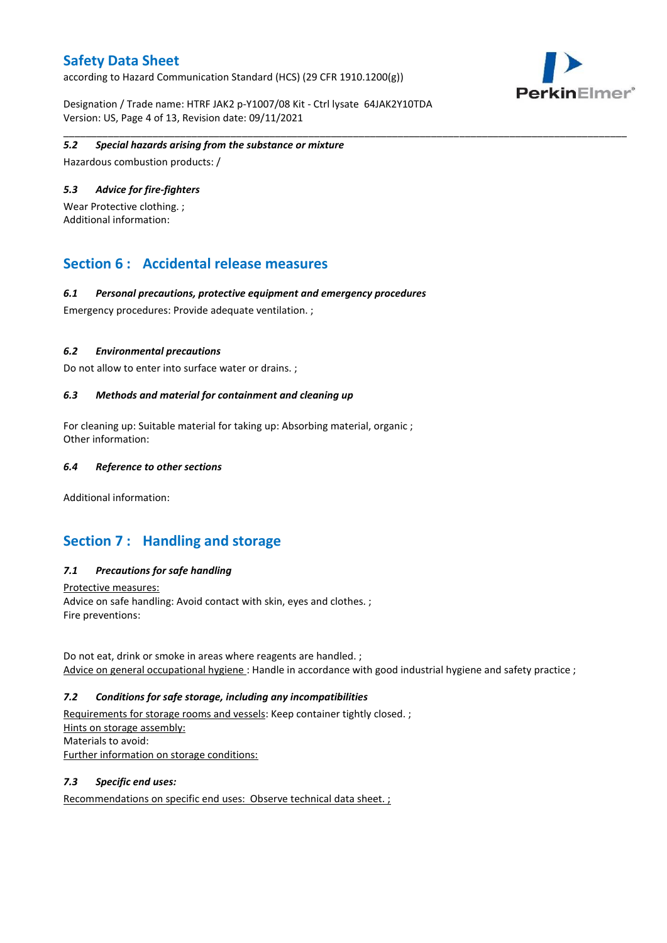according to Hazard Communication Standard (HCS) (29 CFR 1910.1200(g))

Designation / Trade name: HTRF JAK2 p-Y1007/08 Kit - Ctrl lysate 64JAK2Y10TDA Version: US, Page 4 of 13, Revision date: 09/11/2021



#### \_\_\_\_\_\_\_\_\_\_\_\_\_\_\_\_\_\_\_\_\_\_\_\_\_\_\_\_\_\_\_\_\_\_\_\_\_\_\_\_\_\_\_\_\_\_\_\_\_\_\_\_\_\_\_\_\_\_\_\_\_\_\_\_\_\_\_\_\_\_\_\_\_\_\_\_\_\_\_\_\_\_\_\_\_\_\_\_\_\_\_\_\_\_\_\_\_\_\_\_\_ *5.2 Special hazards arising from the substance or mixture*

Hazardous combustion products: /

#### *5.3 Advice for fire-fighters*

Wear Protective clothing. ; Additional information:

## **Section 6 : Accidental release measures**

### *6.1 Personal precautions, protective equipment and emergency procedures*

Emergency procedures: Provide adequate ventilation. ;

### *6.2 Environmental precautions*

Do not allow to enter into surface water or drains. ;

### *6.3 Methods and material for containment and cleaning up*

For cleaning up: Suitable material for taking up: Absorbing material, organic ; Other information:

#### *6.4 Reference to other sections*

Additional information:

## **Section 7 : Handling and storage**

## *7.1 Precautions for safe handling*

Protective measures: Advice on safe handling: Avoid contact with skin, eyes and clothes. ; Fire preventions:

Do not eat, drink or smoke in areas where reagents are handled. ; Advice on general occupational hygiene : Handle in accordance with good industrial hygiene and safety practice ;

#### *7.2 Conditions for safe storage, including any incompatibilities*

Requirements for storage rooms and vessels: Keep container tightly closed. ; Hints on storage assembly: Materials to avoid: Further information on storage conditions:

#### *7.3 Specific end uses:*

Recommendations on specific end uses: Observe technical data sheet. ;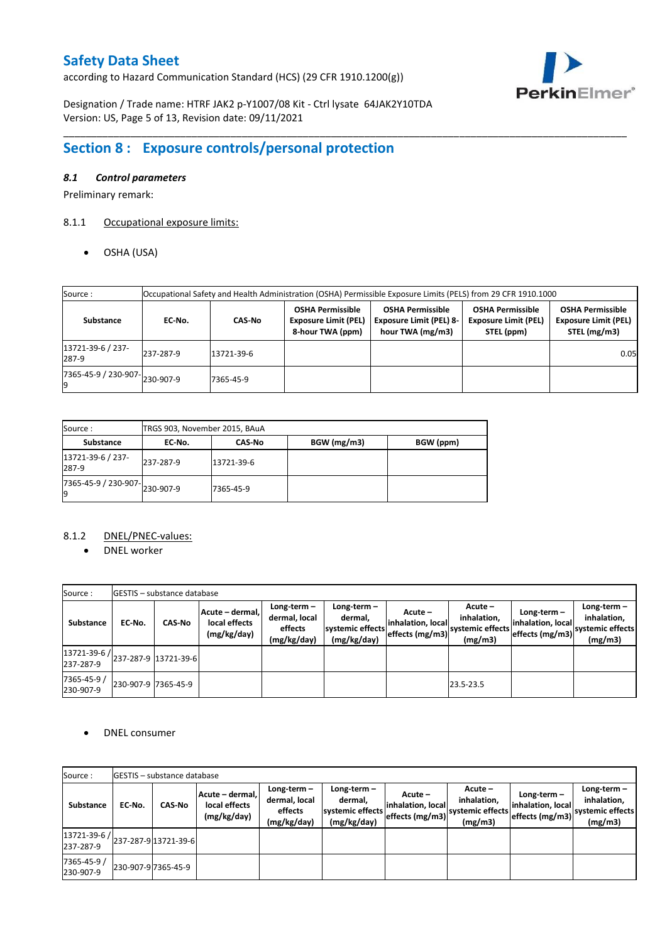according to Hazard Communication Standard (HCS) (29 CFR 1910.1200(g))



Designation / Trade name: HTRF JAK2 p-Y1007/08 Kit - Ctrl lysate 64JAK2Y10TDA Version: US, Page 5 of 13, Revision date: 09/11/2021

# **Section 8 : Exposure controls/personal protection**

### *8.1 Control parameters*

Preliminary remark:

## 8.1.1 Occupational exposure limits:

OSHA (USA)

| Source:                    | Occupational Safety and Health Administration (OSHA) Permissible Exposure Limits (PELS) from 29 CFR 1910.1000 |            |                                                                            |                                                                               |                                                                      |                                                                        |  |  |  |  |  |
|----------------------------|---------------------------------------------------------------------------------------------------------------|------------|----------------------------------------------------------------------------|-------------------------------------------------------------------------------|----------------------------------------------------------------------|------------------------------------------------------------------------|--|--|--|--|--|
| Substance                  | EC-No.                                                                                                        | CAS-No     | <b>OSHA Permissible</b><br><b>Exposure Limit (PEL)</b><br>8-hour TWA (ppm) | <b>OSHA Permissible</b><br><b>Exposure Limit (PEL) 8-</b><br>hour TWA (mg/m3) | <b>OSHA Permissible</b><br><b>Exposure Limit (PEL)</b><br>STEL (ppm) | <b>OSHA Permissible</b><br><b>Exposure Limit (PEL)</b><br>STEL (mg/m3) |  |  |  |  |  |
| 13721-39-6 / 237-<br>287-9 | 237-287-9                                                                                                     | 13721-39-6 |                                                                            |                                                                               |                                                                      | 0.05                                                                   |  |  |  |  |  |
| 7365-45-9 / 230-907-<br>19 | 230-907-9                                                                                                     | 7365-45-9  |                                                                            |                                                                               |                                                                      |                                                                        |  |  |  |  |  |

\_\_\_\_\_\_\_\_\_\_\_\_\_\_\_\_\_\_\_\_\_\_\_\_\_\_\_\_\_\_\_\_\_\_\_\_\_\_\_\_\_\_\_\_\_\_\_\_\_\_\_\_\_\_\_\_\_\_\_\_\_\_\_\_\_\_\_\_\_\_\_\_\_\_\_\_\_\_\_\_\_\_\_\_\_\_\_\_\_\_\_\_\_\_\_\_\_\_\_\_\_

| Source:                                                      | TRGS 903, November 2015, BAuA |               |             |           |
|--------------------------------------------------------------|-------------------------------|---------------|-------------|-----------|
| <b>Substance</b>                                             | EC No.                        | <b>CAS-No</b> | BGW (mg/m3) | BGW (ppm) |
| 13721-39-6 / 237-<br>287-9                                   | 237-287-9                     | 13721-39-6    |             |           |
| $\overline{17365}$ -45-9 / 230-907- $\big  230$ -907-9<br>19 |                               | 7365-45-9     |             |           |

## 8.1.2 DNEL/PNEC-values:

• DNEL worker

| Source:                                                                                       |                     | <b>IGESTIS – substance database</b> |                                                 |                                                          |                                                           |                                                 |                                                         |                                    |                                                                               |
|-----------------------------------------------------------------------------------------------|---------------------|-------------------------------------|-------------------------------------------------|----------------------------------------------------------|-----------------------------------------------------------|-------------------------------------------------|---------------------------------------------------------|------------------------------------|-------------------------------------------------------------------------------|
| <b>Substance</b>                                                                              | EC-No.              | <b>CAS-No</b>                       | Acute - dermal,<br>local effects<br>(mg/kg/day) | $Long-term -$<br>dermal, local<br>effects<br>(mg/kg/day) | Long-term -<br>dermal.<br>systemic effects<br>(mg/kg/day) | Acute –<br>inhalation, local<br>effects (mg/m3) | $Acute -$<br>inhalation.<br>systemic effects<br>(mg/m3) | Long-term $-$<br>inhalation, local | Long-term $-$<br>inhalation.<br>" effects (mg/m3) systemic effects<br>(mg/m3) |
| $\left  \frac{13721 \cdot 39 \cdot 6}{237 \cdot 287 \cdot 9} \right $ 13721-39-6<br>237-287-9 |                     |                                     |                                                 |                                                          |                                                           |                                                 |                                                         |                                    |                                                                               |
| 7365-45-9 /<br>230-907-9                                                                      | 230-907-9 7365-45-9 |                                     |                                                 |                                                          |                                                           |                                                 | 23.5-23.5                                               |                                    |                                                                               |

#### DNEL consumer

| Source:                                            |        | <b>IGESTIS – substance database</b> |                                                 |                                                          |                                                             |                                                 |                                                       |                                                     |                                                          |
|----------------------------------------------------|--------|-------------------------------------|-------------------------------------------------|----------------------------------------------------------|-------------------------------------------------------------|-------------------------------------------------|-------------------------------------------------------|-----------------------------------------------------|----------------------------------------------------------|
| <b>Substance</b>                                   | EC-No. | <b>CAS-No</b>                       | Acute - dermal,<br>local effects<br>(mg/kg/day) | $Long-term -$<br>dermal, local<br>effects<br>(mg/kg/day) | Long-term $-$<br>dermal.<br>systemic effects<br>(mg/kg/day) | Acute –<br>inhalation, local<br>effects (mg/m3) | Acute -<br>inhalation,<br>systemic effects<br>(mg/m3) | Long-term -<br>inhalation, local<br>effects (mg/m3) | Long-term-<br>inhalation.<br>systemic effects<br>(mg/m3) |
| $13721-39-6$ / $237-287-9$ 13721-39-6<br>237-287-9 |        |                                     |                                                 |                                                          |                                                             |                                                 |                                                       |                                                     |                                                          |
| 7365-45-9 /<br>230-907-9                           |        | 230-907-9 7365-45-9                 |                                                 |                                                          |                                                             |                                                 |                                                       |                                                     |                                                          |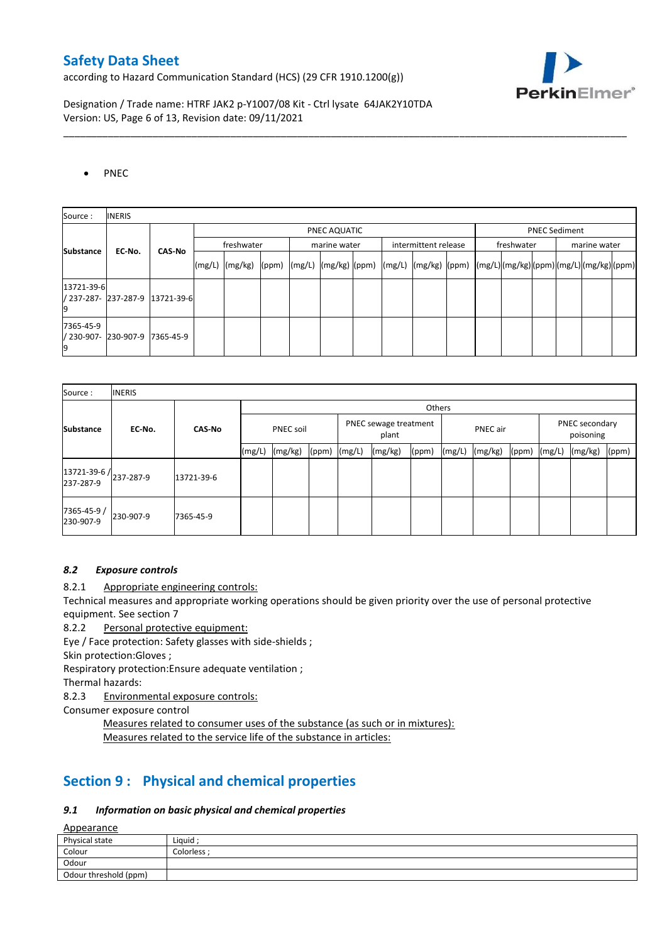according to Hazard Communication Standard (HCS) (29 CFR 1910.1200(g))



Designation / Trade name: HTRF JAK2 p-Y1007/08 Kit - Ctrl lysate 64JAK2Y10TDA Version: US, Page 6 of 13, Revision date: 09/11/2021

### • PNEC

| Source:                    | <b>INERIS</b>                   |           |            |                 |  |              |  |  |                      |                                                                                           |            |                      |  |              |  |  |
|----------------------------|---------------------------------|-----------|------------|-----------------|--|--------------|--|--|----------------------|-------------------------------------------------------------------------------------------|------------|----------------------|--|--------------|--|--|
|                            |                                 |           |            | PNEC AQUATIC    |  |              |  |  |                      |                                                                                           |            | <b>PNEC Sediment</b> |  |              |  |  |
| <b>Substance</b><br>EC-No. | <b>CAS-No</b>                   |           | freshwater |                 |  | marine water |  |  | intermittent release |                                                                                           | freshwater |                      |  | marine water |  |  |
|                            |                                 |           | (mg/L)     | $(mg/kg)$ (ppm) |  |              |  |  |                      | (mg/L)  (mg/kg)  (ppm)  (mg/L)  (mg/kg)  (ppm)  (mg/L) (mg/kg) (ppm) (mg/L) (mg/kg) (ppm) |            |                      |  |              |  |  |
| 13721-39-6                 | / 237-287- 237-287-9 13721-39-6 |           |            |                 |  |              |  |  |                      |                                                                                           |            |                      |  |              |  |  |
| 7365-45-9                  | / 230-907- 230-907-9            | 7365-45-9 |            |                 |  |              |  |  |                      |                                                                                           |            |                      |  |              |  |  |

\_\_\_\_\_\_\_\_\_\_\_\_\_\_\_\_\_\_\_\_\_\_\_\_\_\_\_\_\_\_\_\_\_\_\_\_\_\_\_\_\_\_\_\_\_\_\_\_\_\_\_\_\_\_\_\_\_\_\_\_\_\_\_\_\_\_\_\_\_\_\_\_\_\_\_\_\_\_\_\_\_\_\_\_\_\_\_\_\_\_\_\_\_\_\_\_\_\_\_\_\_

| Source:                             | <b>INERIS</b> |                  |        |         |                                |  |         |          |        |         |                             |        |         |       |
|-------------------------------------|---------------|------------------|--------|---------|--------------------------------|--|---------|----------|--------|---------|-----------------------------|--------|---------|-------|
|                                     |               |                  |        |         |                                |  |         | Others   |        |         |                             |        |         |       |
| <b>Substance</b><br>EC-No.          | <b>CAS-No</b> | <b>PNEC soil</b> |        |         | PNEC sewage treatment<br>plant |  |         | PNEC air |        |         | PNEC secondary<br>poisoning |        |         |       |
|                                     |               |                  | (mg/L) | (mg/kg) | $(ppm)$ $(mg/L)$               |  | (mg/kg) | (ppm)    | (mg/L) | (mg/kg) | (ppm)                       | (mg/L) | (mg/kg) | (ppm) |
| 13721-39-6 / 237-287-9<br>237-287-9 |               | 13721-39-6       |        |         |                                |  |         |          |        |         |                             |        |         |       |
| 7365-45-9 /<br>230-907-9            | 230-907-9     | 7365-45-9        |        |         |                                |  |         |          |        |         |                             |        |         |       |

#### *8.2 Exposure controls*

8.2.1 Appropriate engineering controls:

Technical measures and appropriate working operations should be given priority over the use of personal protective equipment. See section 7

8.2.2 Personal protective equipment:

Eye / Face protection: Safety glasses with side-shields ;

Skin protection:Gloves ;

Respiratory protection:Ensure adequate ventilation ;

Thermal hazards:

8.2.3 Environmental exposure controls:

Consumer exposure control

Measures related to consumer uses of the substance (as such or in mixtures): Measures related to the service life of the substance in articles:

## **Section 9 : Physical and chemical properties**

#### *9.1 Information on basic physical and chemical properties*

Appearance

| $-$                   |           |
|-----------------------|-----------|
| Physical state        | Liauid :  |
| Colour                | Colorless |
| Odour                 |           |
| Odour threshold (ppm) |           |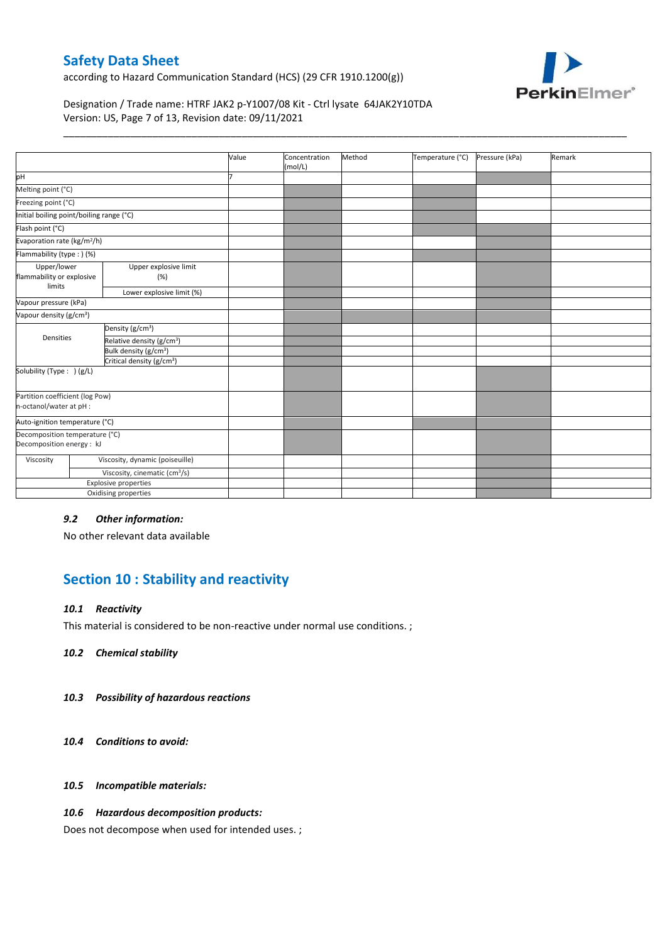according to Hazard Communication Standard (HCS) (29 CFR 1910.1200(g))



## Designation / Trade name: HTRF JAK2 p-Y1007/08 Kit - Ctrl lysate 64JAK2Y10TDA Version: US, Page 7 of 13, Revision date: 09/11/2021

|                                                             | Value | Concentration<br>(mol/L) | Method | Temperature (°C) | Pressure (kPa) | Remark |
|-------------------------------------------------------------|-------|--------------------------|--------|------------------|----------------|--------|
|                                                             |       |                          |        |                  |                |        |
| Melting point (°C)<br>Freezing point (°C)                   |       |                          |        |                  |                |        |
|                                                             |       |                          |        |                  |                |        |
| Initial boiling point/boiling range (°C)                    |       |                          |        |                  |                |        |
| Flash point (°C)                                            |       |                          |        |                  |                |        |
| Evaporation rate (kg/m <sup>2</sup> /h)                     |       |                          |        |                  |                |        |
| Flammability (type: ) (%)                                   |       |                          |        |                  |                |        |
| Upper explosive limit<br>flammability or explosive<br>(%)   |       |                          |        |                  |                |        |
| Lower explosive limit (%)                                   |       |                          |        |                  |                |        |
|                                                             |       |                          |        |                  |                |        |
|                                                             |       |                          |        |                  |                |        |
| Density (g/cm <sup>3</sup> )                                |       |                          |        |                  |                |        |
| Relative density (g/cm <sup>3</sup> )                       |       |                          |        |                  |                |        |
| Bulk density (g/cm <sup>3</sup> )                           |       |                          |        |                  |                |        |
| Critical density (g/cm <sup>3</sup> )                       |       |                          |        |                  |                |        |
|                                                             |       |                          |        |                  |                |        |
| Partition coefficient (log Pow)                             |       |                          |        |                  |                |        |
| Auto-ignition temperature (°C)                              |       |                          |        |                  |                |        |
| Decomposition temperature (°C)<br>Decomposition energy : kJ |       |                          |        |                  |                |        |
| Viscosity, dynamic (poiseuille)                             |       |                          |        |                  |                |        |
| Viscosity, cinematic (cm <sup>3</sup> /s)                   |       |                          |        |                  |                |        |
| <b>Explosive properties</b>                                 |       |                          |        |                  |                |        |
| Oxidising properties                                        |       |                          |        |                  |                |        |
|                                                             |       |                          |        |                  |                |        |

\_\_\_\_\_\_\_\_\_\_\_\_\_\_\_\_\_\_\_\_\_\_\_\_\_\_\_\_\_\_\_\_\_\_\_\_\_\_\_\_\_\_\_\_\_\_\_\_\_\_\_\_\_\_\_\_\_\_\_\_\_\_\_\_\_\_\_\_\_\_\_\_\_\_\_\_\_\_\_\_\_\_\_\_\_\_\_\_\_\_\_\_\_\_\_\_\_\_\_\_\_

#### *9.2 Other information:*

No other relevant data available

## **Section 10 : Stability and reactivity**

#### *10.1 Reactivity*

This material is considered to be non-reactive under normal use conditions. ;

*10.2 Chemical stability*

#### *10.3 Possibility of hazardous reactions*

- *10.4 Conditions to avoid:*
- *10.5 Incompatible materials:*

#### *10.6 Hazardous decomposition products:*

Does not decompose when used for intended uses. ;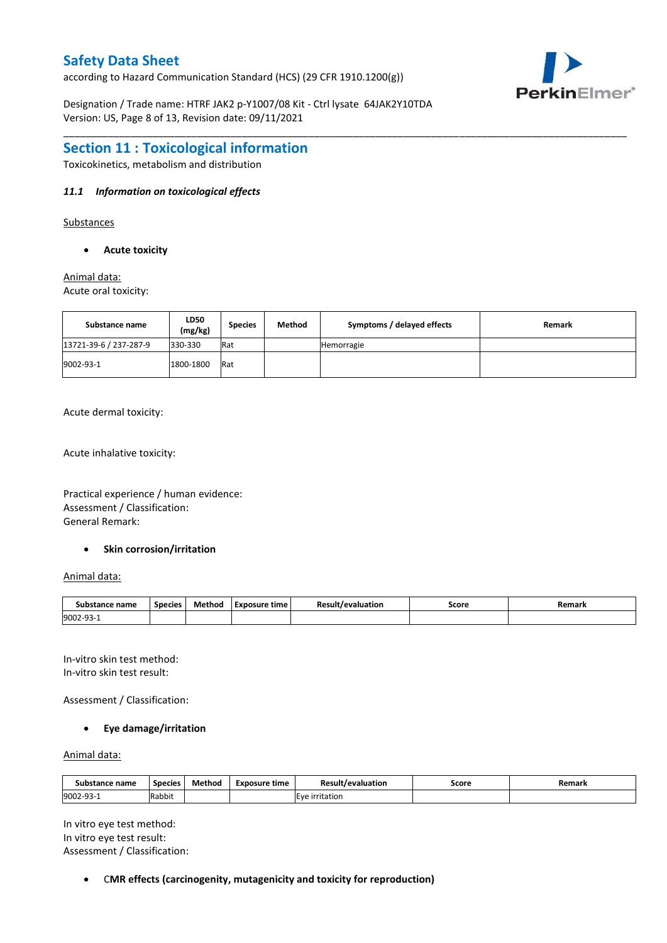according to Hazard Communication Standard (HCS) (29 CFR 1910.1200(g))

Designation / Trade name: HTRF JAK2 p-Y1007/08 Kit - Ctrl lysate 64JAK2Y10TDA Version: US, Page 8 of 13, Revision date: 09/11/2021



## **Section 11 : Toxicological information**

Toxicokinetics, metabolism and distribution

### *11.1 Information on toxicological effects*

Substances

**Acute toxicity**

Animal data: Acute oral toxicity:

| Substance name         | LD50<br>(mg/kg) | <b>Species</b> | <b>Method</b> | Symptoms / delayed effects | Remark |
|------------------------|-----------------|----------------|---------------|----------------------------|--------|
| 13721-39-6 / 237-287-9 | 330-330         | Rat            |               | Hemorragie                 |        |
| 9002-93-1              | 1800-1800       | Rat            |               |                            |        |

\_\_\_\_\_\_\_\_\_\_\_\_\_\_\_\_\_\_\_\_\_\_\_\_\_\_\_\_\_\_\_\_\_\_\_\_\_\_\_\_\_\_\_\_\_\_\_\_\_\_\_\_\_\_\_\_\_\_\_\_\_\_\_\_\_\_\_\_\_\_\_\_\_\_\_\_\_\_\_\_\_\_\_\_\_\_\_\_\_\_\_\_\_\_\_\_\_\_\_\_\_

Acute dermal toxicity:

Acute inhalative toxicity:

Practical experience / human evidence: Assessment / Classification: General Remark:

#### **•** Skin corrosion/irritation

Animal data:

| Substance name         | Species | Method | Exposure time | Result<br>Mevaluation | Score | Remark |
|------------------------|---------|--------|---------------|-----------------------|-------|--------|
| 9002-93-<br><u>. ت</u> |         |        |               |                       |       |        |

In-vitro skin test method: In-vitro skin test result:

Assessment / Classification:

#### **Eye damage/irritation**

Animal data:

| Substance name        | <b>Species</b> | Method | Exposure time | Result,<br>'/evaluation | Score | Remark |
|-----------------------|----------------|--------|---------------|-------------------------|-------|--------|
| 9002-93<br><b>سات</b> | Rabbit         |        |               | Eve irritation          |       |        |

In vitro eye test method: In vitro eye test result: Assessment / Classification:

C**MR effects (carcinogenity, mutagenicity and toxicity for reproduction)**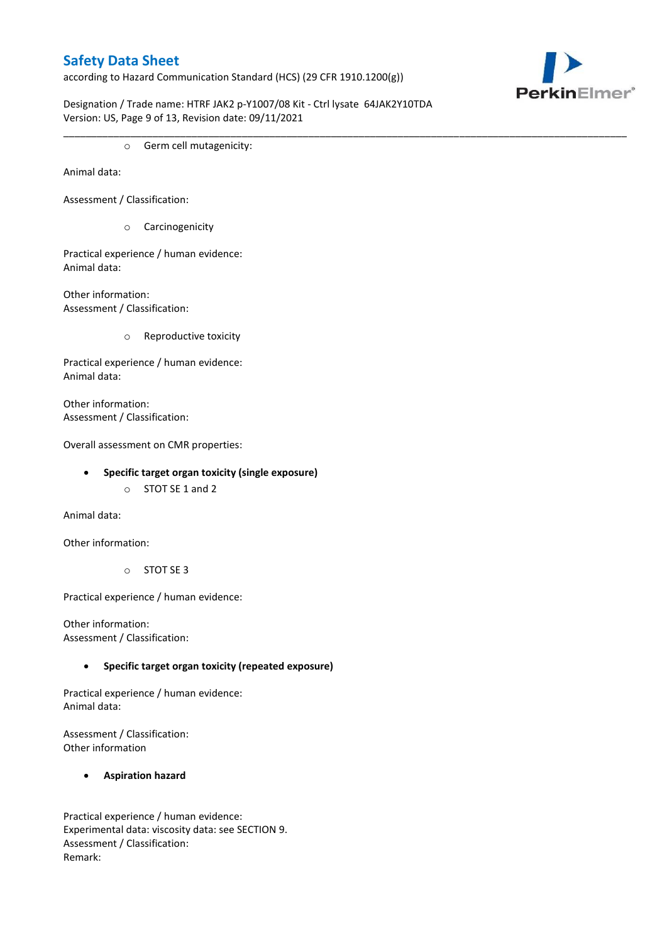according to Hazard Communication Standard (HCS) (29 CFR 1910.1200(g))



Designation / Trade name: HTRF JAK2 p-Y1007/08 Kit - Ctrl lysate 64JAK2Y10TDA Version: US, Page 9 of 13, Revision date: 09/11/2021

\_\_\_\_\_\_\_\_\_\_\_\_\_\_\_\_\_\_\_\_\_\_\_\_\_\_\_\_\_\_\_\_\_\_\_\_\_\_\_\_\_\_\_\_\_\_\_\_\_\_\_\_\_\_\_\_\_\_\_\_\_\_\_\_\_\_\_\_\_\_\_\_\_\_\_\_\_\_\_\_\_\_\_\_\_\_\_\_\_\_\_\_\_\_\_\_\_\_\_\_\_

o Germ cell mutagenicity:

Animal data:

Assessment / Classification:

o Carcinogenicity

Practical experience / human evidence: Animal data:

Other information: Assessment / Classification:

o Reproductive toxicity

Practical experience / human evidence: Animal data:

Other information: Assessment / Classification:

Overall assessment on CMR properties:

- **Specific target organ toxicity (single exposure)**
	- o STOT SE 1 and 2

Animal data:

Other information:

o STOT SE 3

Practical experience / human evidence:

Other information: Assessment / Classification:

## **Specific target organ toxicity (repeated exposure)**

Practical experience / human evidence: Animal data:

Assessment / Classification: Other information

## **Aspiration hazard**

Practical experience / human evidence: Experimental data: viscosity data: see SECTION 9. Assessment / Classification: Remark: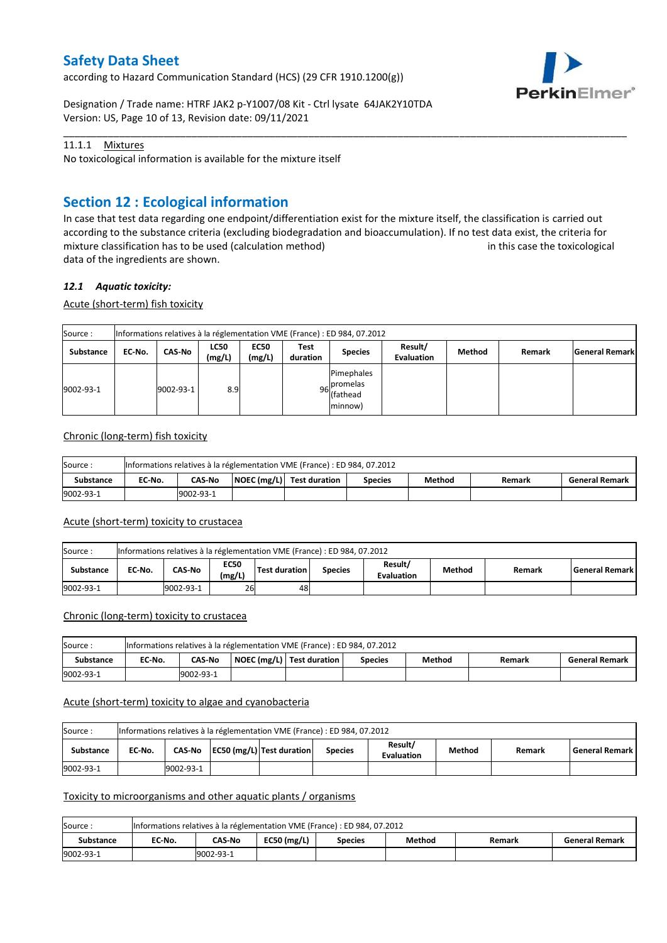according to Hazard Communication Standard (HCS) (29 CFR 1910.1200(g))



Designation / Trade name: HTRF JAK2 p-Y1007/08 Kit - Ctrl lysate 64JAK2Y10TDA Version: US, Page 10 of 13, Revision date: 09/11/2021

## 11.1.1 Mixtures

No toxicological information is available for the mixture itself

## **Section 12 : Ecological information**

In case that test data regarding one endpoint/differentiation exist for the mixture itself, the classification is carried out according to the substance criteria (excluding biodegradation and bioaccumulation). If no test data exist, the criteria for mixture classification has to be used (calculation method) in this case the toxicological data of the ingredients are shown.

\_\_\_\_\_\_\_\_\_\_\_\_\_\_\_\_\_\_\_\_\_\_\_\_\_\_\_\_\_\_\_\_\_\_\_\_\_\_\_\_\_\_\_\_\_\_\_\_\_\_\_\_\_\_\_\_\_\_\_\_\_\_\_\_\_\_\_\_\_\_\_\_\_\_\_\_\_\_\_\_\_\_\_\_\_\_\_\_\_\_\_\_\_\_\_\_\_\_\_\_\_

### *12.1 Aquatic toxicity:*

Acute (short-term) fish toxicity

| Source:          |        |               |                       |                       |                  | Informations relatives à la réglementation VME (France) : ED 984, 07.2012 |                              |        |        |                       |
|------------------|--------|---------------|-----------------------|-----------------------|------------------|---------------------------------------------------------------------------|------------------------------|--------|--------|-----------------------|
| <b>Substance</b> | EC-No. | <b>CAS-No</b> | <b>LC50</b><br>(mg/L) | <b>EC50</b><br>(mg/L) | Test<br>duration | <b>Species</b>                                                            | Result/<br><b>Evaluation</b> | Method | Remark | <b>General Remark</b> |
| 9002-93-1        |        | 9002-93-1     | 8.9                   |                       |                  | Pimephales<br>96 promelas<br>minnow)                                      |                              |        |        |                       |

#### Chronic (long-term) fish toxicity

| Source:   |        |               | Informations relatives à la réglementation VME (France) : ED 984, 07.2012 |         |        |        |                       |
|-----------|--------|---------------|---------------------------------------------------------------------------|---------|--------|--------|-----------------------|
| Substance | EC No. | <b>CAS-No</b> | $\vert$ NOEC (mg/L) $\vert$ Test duration                                 | Species | Method | Remark | <b>General Remark</b> |
| 9002-93-1 |        | 9002-93-1     |                                                                           |         |        |        |                       |

#### Acute (short-term) toxicity to crustacea

| Source:          |        |           |                       | Informations relatives à la réglementation VME (France) : ED 984, 07.2012 |                |                              |        |        |                    |
|------------------|--------|-----------|-----------------------|---------------------------------------------------------------------------|----------------|------------------------------|--------|--------|--------------------|
| <b>Substance</b> | EC No. | CAS-No    | <b>EC50</b><br>(mg/L) | Test duration                                                             | <b>Species</b> | Result/<br><b>Evaluation</b> | Method | Remark | l General Remark l |
| 9002-93-1        |        | 9002-93-1 | 26                    | 48                                                                        |                |                              |        |        |                    |

#### Chronic (long-term) toxicity to crustacea

| Source:          |        |               | Informations relatives à la réglementation VME (France) : ED 984, 07.2012 |                |        |        |                       |
|------------------|--------|---------------|---------------------------------------------------------------------------|----------------|--------|--------|-----------------------|
| <b>Substance</b> | EC No. | <b>CAS No</b> | NOEC (mg/L)   Test duration                                               | <b>Species</b> | Method | Remark | <b>General Remark</b> |
| 9002-93-1        |        | 9002-93-1     |                                                                           |                |        |        |                       |

## Acute (short-term) toxicity to algae and cyanobacteria

| Source:          |        |           |                                      | Informations relatives à la réglementation VME (France) : ED 984, 07.2012 |                              |        |        |                       |
|------------------|--------|-----------|--------------------------------------|---------------------------------------------------------------------------|------------------------------|--------|--------|-----------------------|
| <b>Substance</b> | EC No. |           | CAS-No   EC50 (mg/L)   Test duration | <b>Species</b>                                                            | Result/<br><b>Evaluation</b> | Method | Remark | <b>General Remark</b> |
| 9002-93-1        |        | 9002-93-1 |                                      |                                                                           |                              |        |        |                       |

#### Toxicity to microorganisms and other aquatic plants / organisms

| Source:   |        |           |               | Informations relatives à la réglementation VME (France) : ED 984, 07.2012 |        |        |                       |
|-----------|--------|-----------|---------------|---------------------------------------------------------------------------|--------|--------|-----------------------|
| Substance | EC-No. | CAS-No    | $EC50$ (mg/L) | Species                                                                   | Method | Remark | <b>General Remark</b> |
| 9002-93-1 |        | 9002-93-1 |               |                                                                           |        |        |                       |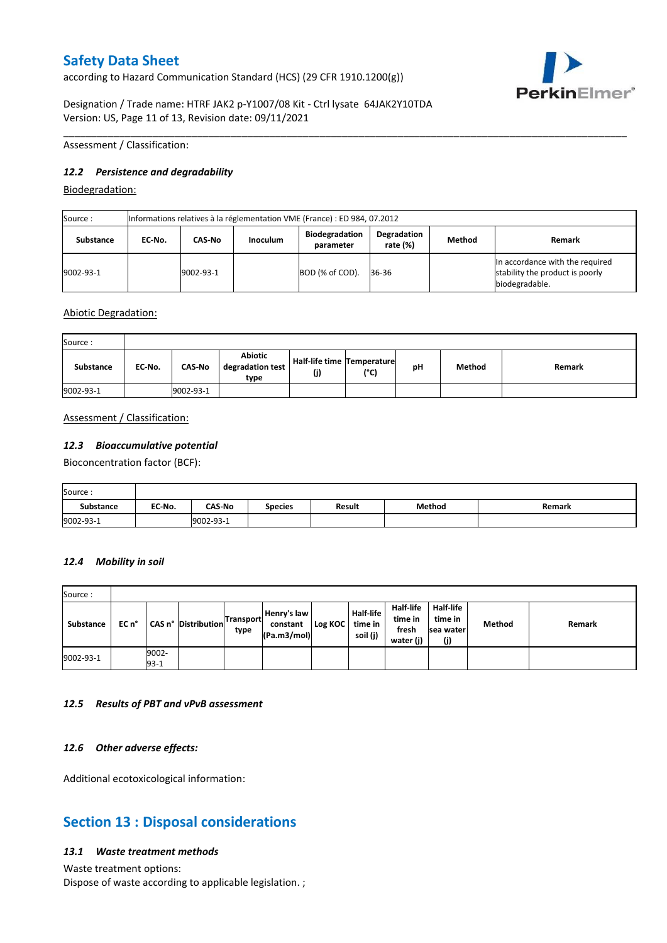according to Hazard Communication Standard (HCS) (29 CFR 1910.1200(g))



Designation / Trade name: HTRF JAK2 p-Y1007/08 Kit - Ctrl lysate 64JAK2Y10TDA Version: US, Page 11 of 13, Revision date: 09/11/2021

Assessment / Classification:

### *12.2 Persistence and degradability*

Biodegradation:

| Source :  |        |           |                 | Informations relatives à la réglementation VME (France) : ED 984, 07.2012 |                         |        |                                                                                      |
|-----------|--------|-----------|-----------------|---------------------------------------------------------------------------|-------------------------|--------|--------------------------------------------------------------------------------------|
| Substance | EC No. | CAS-No    | <b>Inoculum</b> | <b>Biodegradation</b><br>parameter                                        | Degradation<br>rate (%) | Method | Remark                                                                               |
| 9002-93-1 |        | 9002-93-1 |                 | BOD (% of COD).                                                           | 36-36                   |        | In accordance with the required<br>stability the product is poorly<br>biodegradable. |

\_\_\_\_\_\_\_\_\_\_\_\_\_\_\_\_\_\_\_\_\_\_\_\_\_\_\_\_\_\_\_\_\_\_\_\_\_\_\_\_\_\_\_\_\_\_\_\_\_\_\_\_\_\_\_\_\_\_\_\_\_\_\_\_\_\_\_\_\_\_\_\_\_\_\_\_\_\_\_\_\_\_\_\_\_\_\_\_\_\_\_\_\_\_\_\_\_\_\_\_\_

Abiotic Degradation:

| Source:          |        |               |                                            |                                       |      |    |        |        |
|------------------|--------|---------------|--------------------------------------------|---------------------------------------|------|----|--------|--------|
| <b>Substance</b> | EC-No. | <b>CAS-No</b> | <b>Abiotic</b><br>degradation test<br>type | Half-life time   Temperature  <br>(j) | (°C) | рH | Method | Remark |
| 9002-93-1        |        | 9002-93-1     |                                            |                                       |      |    |        |        |

Assessment / Classification:

#### *12.3 Bioaccumulative potential*

Bioconcentration factor (BCF):

| Source:   |        |               |         |               |        |        |
|-----------|--------|---------------|---------|---------------|--------|--------|
| Substance | EC No. | <b>CAS-No</b> | Species | <b>Result</b> | Method | Remark |
| 9002-93-1 |        | 9002-93-1     |         |               |        |        |

#### *12.4 Mobility in soil*

| Source:   |       |                 |                     |                          |                                        |         |                                         |                                            |                                          |        |        |
|-----------|-------|-----------------|---------------------|--------------------------|----------------------------------------|---------|-----------------------------------------|--------------------------------------------|------------------------------------------|--------|--------|
| Substance | EC n° |                 | CAS n° Distribution | <b>Transport</b><br>type | Henry's law<br>constant<br>(Pa.m3/mol) | Log KOC | <b>Half-life</b><br>time in<br>soil (j) | Half-life<br>time in<br>fresh<br>water (j) | Half-life<br>time in<br>sea water<br>(j) | Method | Remark |
| 9002-93-1 |       | 9002-<br>$93-1$ |                     |                          |                                        |         |                                         |                                            |                                          |        |        |

#### *12.5 Results of PBT and vPvB assessment*

#### *12.6 Other adverse effects:*

Additional ecotoxicological information:

## **Section 13 : Disposal considerations**

#### *13.1 Waste treatment methods*

Waste treatment options: Dispose of waste according to applicable legislation. ;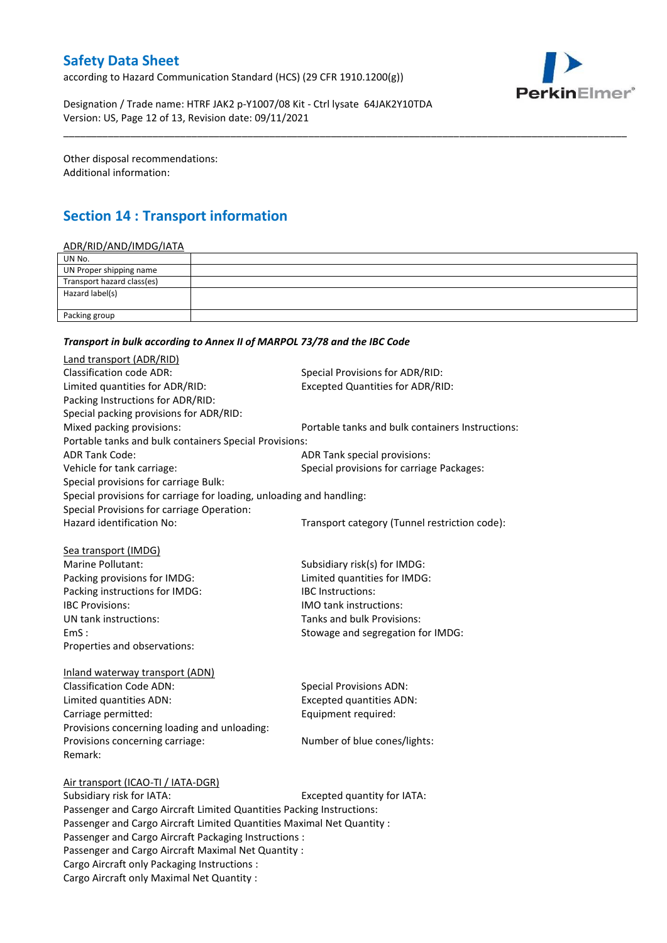according to Hazard Communication Standard (HCS) (29 CFR 1910.1200(g))



Designation / Trade name: HTRF JAK2 p-Y1007/08 Kit - Ctrl lysate 64JAK2Y10TDA Version: US, Page 12 of 13, Revision date: 09/11/2021

Other disposal recommendations: Additional information:

# **Section 14 : Transport information**

### ADR/RID/AND/IMDG/IATA

| UN No.                     |  |
|----------------------------|--|
| UN Proper shipping name    |  |
| Transport hazard class(es) |  |
| Hazard label(s)            |  |
|                            |  |
| Packing group              |  |

\_\_\_\_\_\_\_\_\_\_\_\_\_\_\_\_\_\_\_\_\_\_\_\_\_\_\_\_\_\_\_\_\_\_\_\_\_\_\_\_\_\_\_\_\_\_\_\_\_\_\_\_\_\_\_\_\_\_\_\_\_\_\_\_\_\_\_\_\_\_\_\_\_\_\_\_\_\_\_\_\_\_\_\_\_\_\_\_\_\_\_\_\_\_\_\_\_\_\_\_\_

### *Transport in bulk according to Annex II of MARPOL 73/78 and the IBC Code*

| Land transport (ADR/RID)                                               |                                                  |  |
|------------------------------------------------------------------------|--------------------------------------------------|--|
| <b>Classification code ADR:</b>                                        | Special Provisions for ADR/RID:                  |  |
| Limited quantities for ADR/RID:                                        | <b>Excepted Quantities for ADR/RID:</b>          |  |
| Packing Instructions for ADR/RID:                                      |                                                  |  |
| Special packing provisions for ADR/RID:                                |                                                  |  |
| Mixed packing provisions:                                              | Portable tanks and bulk containers Instructions: |  |
| Portable tanks and bulk containers Special Provisions:                 |                                                  |  |
| <b>ADR Tank Code:</b>                                                  | ADR Tank special provisions:                     |  |
| Vehicle for tank carriage:                                             | Special provisions for carriage Packages:        |  |
| Special provisions for carriage Bulk:                                  |                                                  |  |
| Special provisions for carriage for loading, unloading and handling:   |                                                  |  |
| Special Provisions for carriage Operation:                             |                                                  |  |
| Hazard identification No:                                              | Transport category (Tunnel restriction code):    |  |
| Sea transport (IMDG)                                                   |                                                  |  |
| Marine Pollutant:                                                      | Subsidiary risk(s) for IMDG:                     |  |
| Packing provisions for IMDG:                                           | Limited quantities for IMDG:                     |  |
| Packing instructions for IMDG:                                         | <b>IBC</b> Instructions:                         |  |
| <b>IBC Provisions:</b>                                                 | <b>IMO tank instructions:</b>                    |  |
| UN tank instructions:                                                  | Tanks and bulk Provisions:                       |  |
| EmS:                                                                   | Stowage and segregation for IMDG:                |  |
| Properties and observations:                                           |                                                  |  |
| Inland waterway transport (ADN)                                        |                                                  |  |
| <b>Classification Code ADN:</b>                                        | <b>Special Provisions ADN:</b>                   |  |
| Limited quantities ADN:                                                | <b>Excepted quantities ADN:</b>                  |  |
| Carriage permitted:                                                    | Equipment required:                              |  |
| Provisions concerning loading and unloading:                           |                                                  |  |
| Provisions concerning carriage:                                        | Number of blue cones/lights:                     |  |
| Remark:                                                                |                                                  |  |
| Air transport (ICAO-TI / IATA-DGR)                                     |                                                  |  |
| Subsidiary risk for IATA:                                              | Excepted quantity for IATA:                      |  |
| Passenger and Cargo Aircraft Limited Quantities Packing Instructions:  |                                                  |  |
| Passenger and Cargo Aircraft Limited Quantities Maximal Net Quantity : |                                                  |  |
| Passenger and Cargo Aircraft Packaging Instructions :                  |                                                  |  |
| Passenger and Cargo Aircraft Maximal Net Quantity :                    |                                                  |  |
| Cargo Aircraft only Packaging Instructions :                           |                                                  |  |
| Cargo Aircraft only Maximal Net Quantity :                             |                                                  |  |